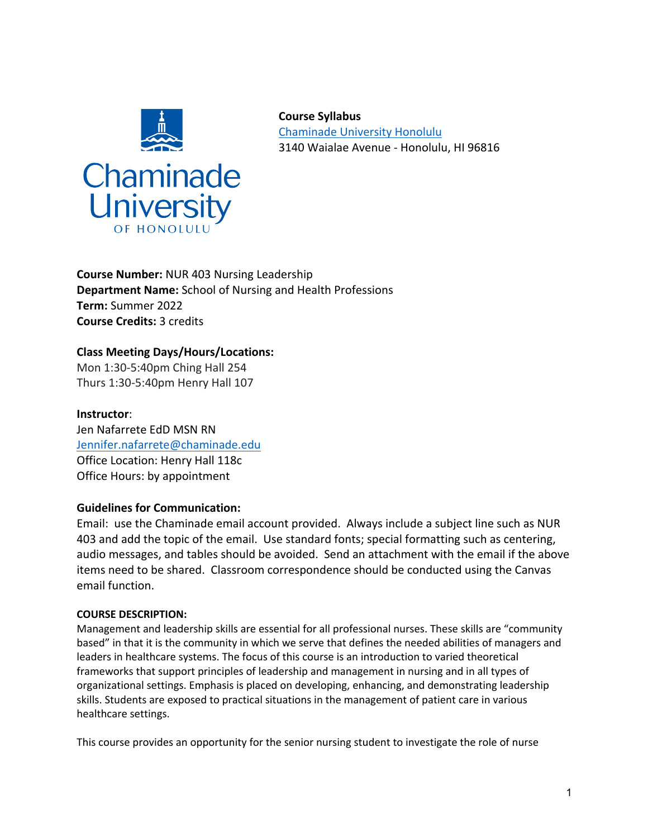

**Course Syllabus** Chaminade University Honolulu 3140 Waialae Avenue - Honolulu, HI 96816

**Course Number:** NUR 403 Nursing Leadership **Department Name:** School of Nursing and Health Professions **Term:** Summer 2022 **Course Credits:** 3 credits

# **Class Meeting Days/Hours/Locations:**

Mon 1:30-5:40pm Ching Hall 254 Thurs 1:30-5:40pm Henry Hall 107

**Instructor**: Jen Nafarrete EdD MSN RN Jennifer.nafarrete@chaminade.edu Office Location: Henry Hall 118c Office Hours: by appointment

# **Guidelines for Communication:**

Email: use the Chaminade email account provided. Always include a subject line such as NUR 403 and add the topic of the email. Use standard fonts; special formatting such as centering, audio messages, and tables should be avoided. Send an attachment with the email if the above items need to be shared. Classroom correspondence should be conducted using the Canvas email function.

# **COURSE DESCRIPTION:**

Management and leadership skills are essential for all professional nurses. These skills are "community based" in that it is the community in which we serve that defines the needed abilities of managers and leaders in healthcare systems. The focus of this course is an introduction to varied theoretical frameworks that support principles of leadership and management in nursing and in all types of organizational settings. Emphasis is placed on developing, enhancing, and demonstrating leadership skills. Students are exposed to practical situations in the management of patient care in various healthcare settings.

This course provides an opportunity for the senior nursing student to investigate the role of nurse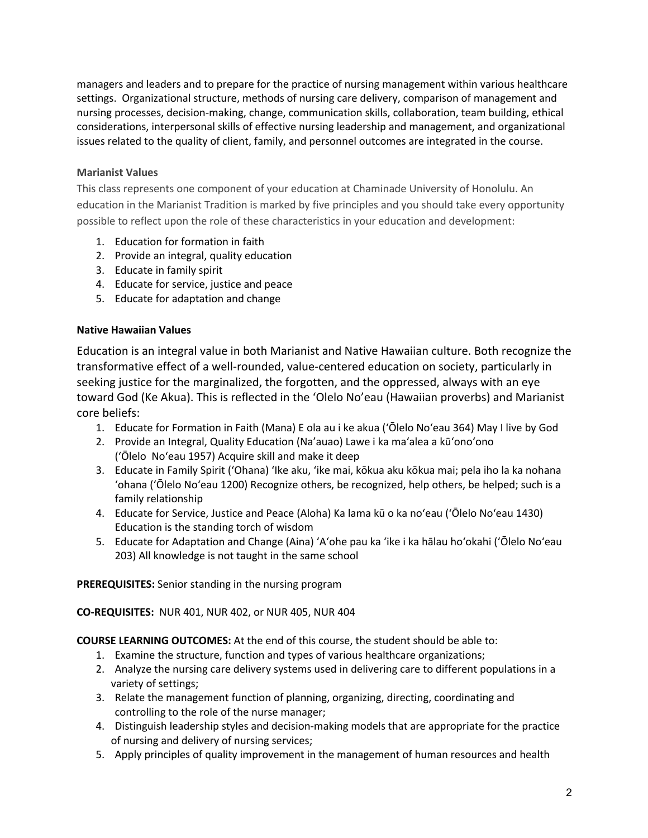managers and leaders and to prepare for the practice of nursing management within various healthcare settings. Organizational structure, methods of nursing care delivery, comparison of management and nursing processes, decision-making, change, communication skills, collaboration, team building, ethical considerations, interpersonal skills of effective nursing leadership and management, and organizational issues related to the quality of client, family, and personnel outcomes are integrated in the course.

# **Marianist Values**

This class represents one component of your education at Chaminade University of Honolulu. An education in the Marianist Tradition is marked by five principles and you should take every opportunity possible to reflect upon the role of these characteristics in your education and development:

- 1. Education for formation in faith
- 2. Provide an integral, quality education
- 3. Educate in family spirit
- 4. Educate for service, justice and peace
- 5. Educate for adaptation and change

# **Native Hawaiian Values**

Education is an integral value in both Marianist and Native Hawaiian culture. Both recognize the transformative effect of a well-rounded, value-centered education on society, particularly in seeking justice for the marginalized, the forgotten, and the oppressed, always with an eye toward God (Ke Akua). This is reflected in the 'Olelo No'eau (Hawaiian proverbs) and Marianist core beliefs:

- 1. Educate for Formation in Faith (Mana) E ola au i ke akua (ʻŌlelo Noʻeau 364) May I live by God
- 2. Provide an Integral, Quality Education (Na'auao) Lawe i ka maʻalea a kūʻonoʻono (ʻŌlelo Noʻeau 1957) Acquire skill and make it deep
- 3. Educate in Family Spirit ('Ohana) ʻIke aku, ʻike mai, kōkua aku kōkua mai; pela iho la ka nohana ʻohana ('Ōlelo Noʻeau 1200) Recognize others, be recognized, help others, be helped; such is a family relationship
- 4. Educate for Service, Justice and Peace (Aloha) Ka lama kū o ka noʻeau (ʻŌlelo Noʻeau 1430) Education is the standing torch of wisdom
- 5. Educate for Adaptation and Change (Aina) ʻAʻohe pau ka 'ike i ka hālau hoʻokahi (ʻŌlelo Noʻeau 203) All knowledge is not taught in the same school

**PREREQUISITES:** Senior standing in the nursing program

**CO-REQUISITES:** NUR 401, NUR 402, or NUR 405, NUR 404

**COURSE LEARNING OUTCOMES:** At the end of this course, the student should be able to:

- 1. Examine the structure, function and types of various healthcare organizations;
- 2. Analyze the nursing care delivery systems used in delivering care to different populations in a variety of settings;
- 3. Relate the management function of planning, organizing, directing, coordinating and controlling to the role of the nurse manager;
- 4. Distinguish leadership styles and decision-making models that are appropriate for the practice of nursing and delivery of nursing services;
- 5. Apply principles of quality improvement in the management of human resources and health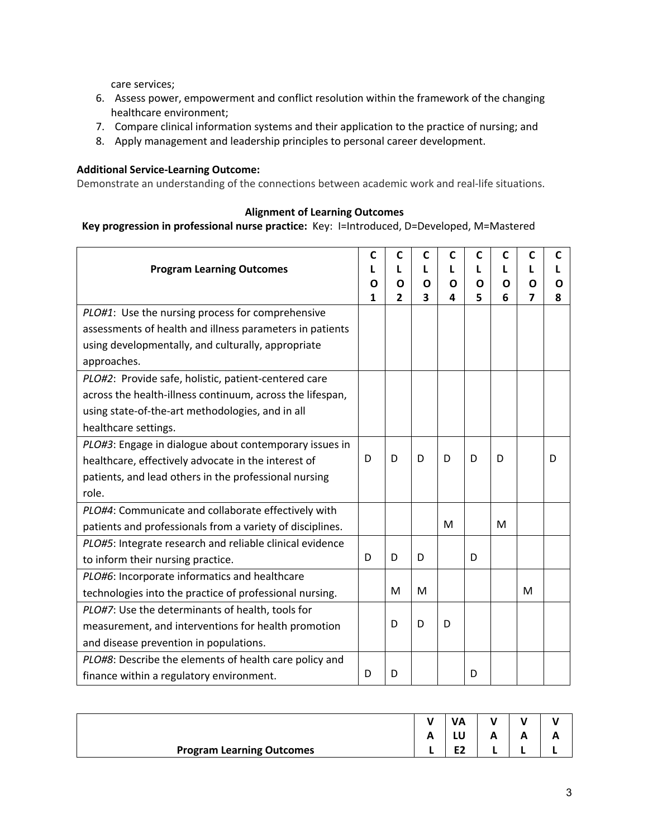care services;

- 6. Assess power, empowerment and conflict resolution within the framework of the changing healthcare environment;
- 7. Compare clinical information systems and their application to the practice of nursing; and
- 8. Apply management and leadership principles to personal career development.

### **Additional Service-Learning Outcome:**

Demonstrate an understanding of the connections between academic work and real-life situations.

### **Alignment of Learning Outcomes**

### **Key progression in professional nurse practice:** Key: I=Introduced, D=Developed, M=Mastered

|                                                           | C | C              | $\mathsf{C}$ | C | C | C | C | C |
|-----------------------------------------------------------|---|----------------|--------------|---|---|---|---|---|
| <b>Program Learning Outcomes</b>                          |   |                | L            | L | L | L | L |   |
|                                                           | Ο | Ο              | Ο            | Ο | Ο | Ο | Ο | Ο |
|                                                           | 1 | $\overline{2}$ | 3            | 4 | 5 | 6 | 7 | 8 |
| PLO#1: Use the nursing process for comprehensive          |   |                |              |   |   |   |   |   |
| assessments of health and illness parameters in patients  |   |                |              |   |   |   |   |   |
| using developmentally, and culturally, appropriate        |   |                |              |   |   |   |   |   |
| approaches.                                               |   |                |              |   |   |   |   |   |
| PLO#2: Provide safe, holistic, patient-centered care      |   |                |              |   |   |   |   |   |
| across the health-illness continuum, across the lifespan, |   |                |              |   |   |   |   |   |
| using state-of-the-art methodologies, and in all          |   |                |              |   |   |   |   |   |
| healthcare settings.                                      |   |                |              |   |   |   |   |   |
| PLO#3: Engage in dialogue about contemporary issues in    |   |                |              |   |   |   |   |   |
| healthcare, effectively advocate in the interest of       |   | D              | D            | D | D | D |   | D |
| patients, and lead others in the professional nursing     |   |                |              |   |   |   |   |   |
| role.                                                     |   |                |              |   |   |   |   |   |
| PLO#4: Communicate and collaborate effectively with       |   |                |              |   |   |   |   |   |
| patients and professionals from a variety of disciplines. |   |                |              | M |   | М |   |   |
| PLO#5: Integrate research and reliable clinical evidence  |   |                |              |   |   |   |   |   |
| to inform their nursing practice.                         | D | D              | D            |   | D |   |   |   |
| PLO#6: Incorporate informatics and healthcare             |   |                |              |   |   |   |   |   |
| technologies into the practice of professional nursing.   |   | M              | M            |   |   |   | M |   |
| PLO#7: Use the determinants of health, tools for          |   |                |              |   |   |   |   |   |
| measurement, and interventions for health promotion       |   | D              | D            | D |   |   |   |   |
| and disease prevention in populations.                    |   |                |              |   |   |   |   |   |
| PLO#8: Describe the elements of health care policy and    |   |                |              |   |   |   |   |   |
| finance within a regulatory environment.                  | D | D              |              |   | D |   |   |   |

|                                  |   | <b>VA</b> |    |  |
|----------------------------------|---|-----------|----|--|
|                                  | ~ | LU        | ́г |  |
| <b>Program Learning Outcomes</b> |   | га<br>cz  |    |  |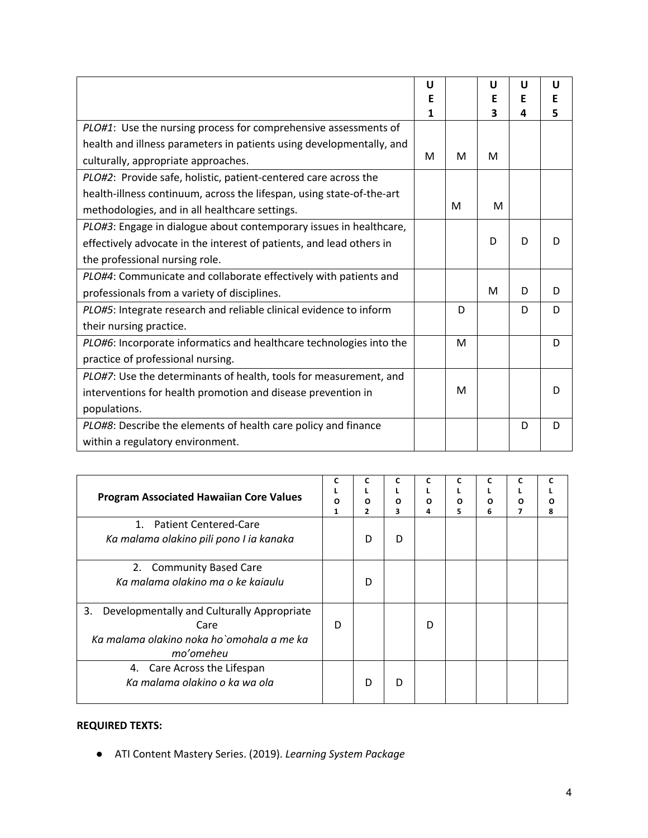|                                                                       | U<br>Е |   | U<br>Е | U<br>E | U<br>E |
|-----------------------------------------------------------------------|--------|---|--------|--------|--------|
|                                                                       | 1      |   | 3      | Δ      | 5      |
| PLO#1: Use the nursing process for comprehensive assessments of       |        |   |        |        |        |
| health and illness parameters in patients using developmentally, and  |        |   |        |        |        |
| culturally, appropriate approaches.                                   | м      | М | м      |        |        |
| PLO#2: Provide safe, holistic, patient-centered care across the       |        |   |        |        |        |
| health-illness continuum, across the lifespan, using state-of-the-art |        |   |        |        |        |
| methodologies, and in all healthcare settings.                        |        | м | м      |        |        |
| PLO#3: Engage in dialogue about contemporary issues in healthcare,    |        |   |        |        |        |
| effectively advocate in the interest of patients, and lead others in  |        |   | D      | D      | D      |
| the professional nursing role.                                        |        |   |        |        |        |
| PLO#4: Communicate and collaborate effectively with patients and      |        |   |        |        |        |
| professionals from a variety of disciplines.                          |        |   | M      | D      | D      |
| PLO#5: Integrate research and reliable clinical evidence to inform    |        | D |        | D      | D      |
| their nursing practice.                                               |        |   |        |        |        |
| PLO#6: Incorporate informatics and healthcare technologies into the   |        | M |        |        | D      |
| practice of professional nursing.                                     |        |   |        |        |        |
| PLO#7: Use the determinants of health, tools for measurement, and     |        |   |        |        |        |
| interventions for health promotion and disease prevention in          |        | M |        |        | D      |
| populations.                                                          |        |   |        |        |        |
| PLO#8: Describe the elements of health care policy and finance        |        |   |        | D      | D      |
| within a regulatory environment.                                      |        |   |        |        |        |

| <b>Program Associated Hawaiian Core Values</b>                                                                     |   | c<br>O<br>2 | C<br>3 | C<br>Ω<br>4 | С<br>Ω<br>5 | O<br>6 | c<br>Ω | ი<br>8 |
|--------------------------------------------------------------------------------------------------------------------|---|-------------|--------|-------------|-------------|--------|--------|--------|
| 1. Patient Centered-Care<br>Ka malama olakino pili pono I ia kanaka                                                |   | D           | D      |             |             |        |        |        |
| 2. Community Based Care<br>Ka malama olakino ma o ke kajaulu                                                       |   | D           |        |             |             |        |        |        |
| Developmentally and Culturally Appropriate<br>3.<br>Care<br>Ka malama olakino noka ho`omohala a me ka<br>mo'omeheu | D |             |        | D           |             |        |        |        |
| 4. Care Across the Lifespan<br>Ka malama olakino o ka wa ola                                                       |   | D           | D      |             |             |        |        |        |

# **REQUIRED TEXTS:**

● ATI Content Mastery Series. (2019). *Learning System Package*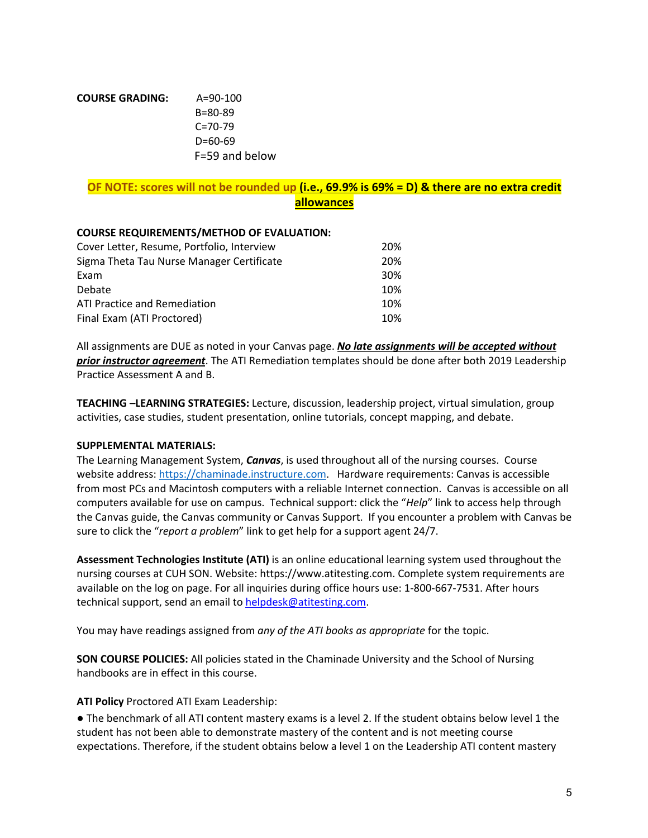| <b>COURSE GRADING:</b> | $A = 90 - 100$ |
|------------------------|----------------|
|                        | $B = 80 - 89$  |
|                        | $C = 70-79$    |
|                        | D=60-69        |
|                        | F=59 and below |

# **OF NOTE: scores will not be rounded up (i.e., 69.9% is 69% = D) & there are no extra credit allowances**

### **COURSE REQUIREMENTS/METHOD OF EVALUATION:**

| Cover Letter, Resume, Portfolio, Interview |     |  |  |
|--------------------------------------------|-----|--|--|
| Sigma Theta Tau Nurse Manager Certificate  |     |  |  |
| Exam                                       | 30% |  |  |
| Debate                                     | 10% |  |  |
| <b>ATI Practice and Remediation</b>        | 10% |  |  |
| Final Exam (ATI Proctored)                 | 10% |  |  |

All assignments are DUE as noted in your Canvas page. *No late assignments will be accepted without prior instructor agreement*. The ATI Remediation templates should be done after both 2019 Leadership Practice Assessment A and B.

**TEACHING –LEARNING STRATEGIES:** Lecture, discussion, leadership project, virtual simulation, group activities, case studies, student presentation, online tutorials, concept mapping, and debate.

#### **SUPPLEMENTAL MATERIALS:**

The Learning Management System, *Canvas*, is used throughout all of the nursing courses. Course website address: https://chaminade.instructure.com. Hardware requirements: Canvas is accessible from most PCs and Macintosh computers with a reliable Internet connection. Canvas is accessible on all computers available for use on campus. Technical support: click the "*Help*" link to access help through the Canvas guide, the Canvas community or Canvas Support. If you encounter a problem with Canvas be sure to click the "*report a problem*" link to get help for a support agent 24/7.

**Assessment Technologies Institute (ATI)** is an online educational learning system used throughout the nursing courses at CUH SON. Website: https://www.atitesting.com. Complete system requirements are available on the log on page. For all inquiries during office hours use: 1-800-667-7531. After hours technical support, send an email to helpdesk@atitesting.com.

You may have readings assigned from *any of the ATI books as appropriate* for the topic.

**SON COURSE POLICIES:** All policies stated in the Chaminade University and the School of Nursing handbooks are in effect in this course.

### **ATI Policy** Proctored ATI Exam Leadership:

● The benchmark of all ATI content mastery exams is a level 2. If the student obtains below level 1 the student has not been able to demonstrate mastery of the content and is not meeting course expectations. Therefore, if the student obtains below a level 1 on the Leadership ATI content mastery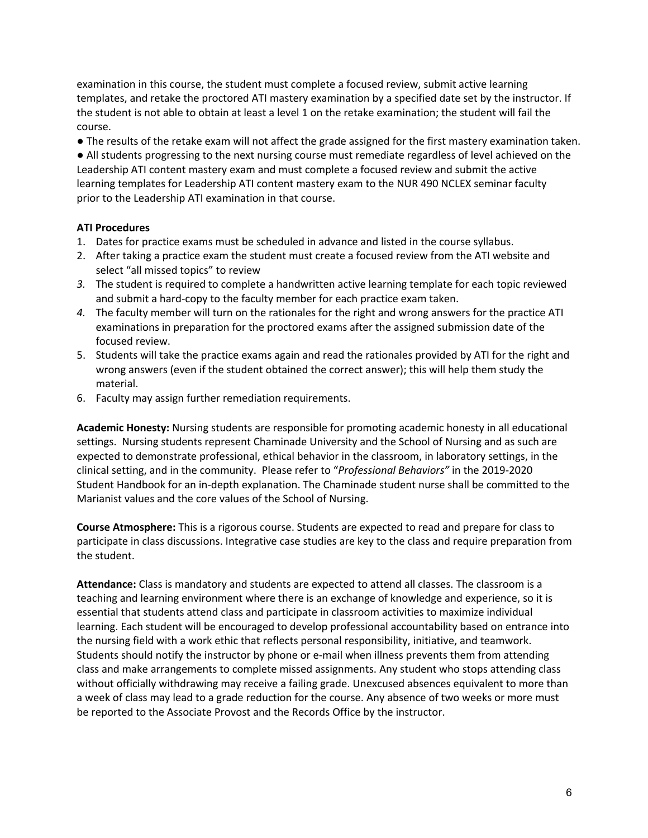examination in this course, the student must complete a focused review, submit active learning templates, and retake the proctored ATI mastery examination by a specified date set by the instructor. If the student is not able to obtain at least a level 1 on the retake examination; the student will fail the course.

● The results of the retake exam will not affect the grade assigned for the first mastery examination taken. ● All students progressing to the next nursing course must remediate regardless of level achieved on the Leadership ATI content mastery exam and must complete a focused review and submit the active learning templates for Leadership ATI content mastery exam to the NUR 490 NCLEX seminar faculty prior to the Leadership ATI examination in that course.

### **ATI Procedures**

- 1. Dates for practice exams must be scheduled in advance and listed in the course syllabus.
- 2. After taking a practice exam the student must create a focused review from the ATI website and select "all missed topics" to review
- *3.* The student is required to complete a handwritten active learning template for each topic reviewed and submit a hard-copy to the faculty member for each practice exam taken.
- *4.* The faculty member will turn on the rationales for the right and wrong answers for the practice ATI examinations in preparation for the proctored exams after the assigned submission date of the focused review.
- 5. Students will take the practice exams again and read the rationales provided by ATI for the right and wrong answers (even if the student obtained the correct answer); this will help them study the material.
- 6. Faculty may assign further remediation requirements.

**Academic Honesty:** Nursing students are responsible for promoting academic honesty in all educational settings. Nursing students represent Chaminade University and the School of Nursing and as such are expected to demonstrate professional, ethical behavior in the classroom, in laboratory settings, in the clinical setting, and in the community. Please refer to "*Professional Behaviors"* in the 2019-2020 Student Handbook for an in-depth explanation. The Chaminade student nurse shall be committed to the Marianist values and the core values of the School of Nursing.

**Course Atmosphere:** This is a rigorous course. Students are expected to read and prepare for class to participate in class discussions. Integrative case studies are key to the class and require preparation from the student.

**Attendance:** Class is mandatory and students are expected to attend all classes. The classroom is a teaching and learning environment where there is an exchange of knowledge and experience, so it is essential that students attend class and participate in classroom activities to maximize individual learning. Each student will be encouraged to develop professional accountability based on entrance into the nursing field with a work ethic that reflects personal responsibility, initiative, and teamwork. Students should notify the instructor by phone or e-mail when illness prevents them from attending class and make arrangements to complete missed assignments. Any student who stops attending class without officially withdrawing may receive a failing grade. Unexcused absences equivalent to more than a week of class may lead to a grade reduction for the course. Any absence of two weeks or more must be reported to the Associate Provost and the Records Office by the instructor.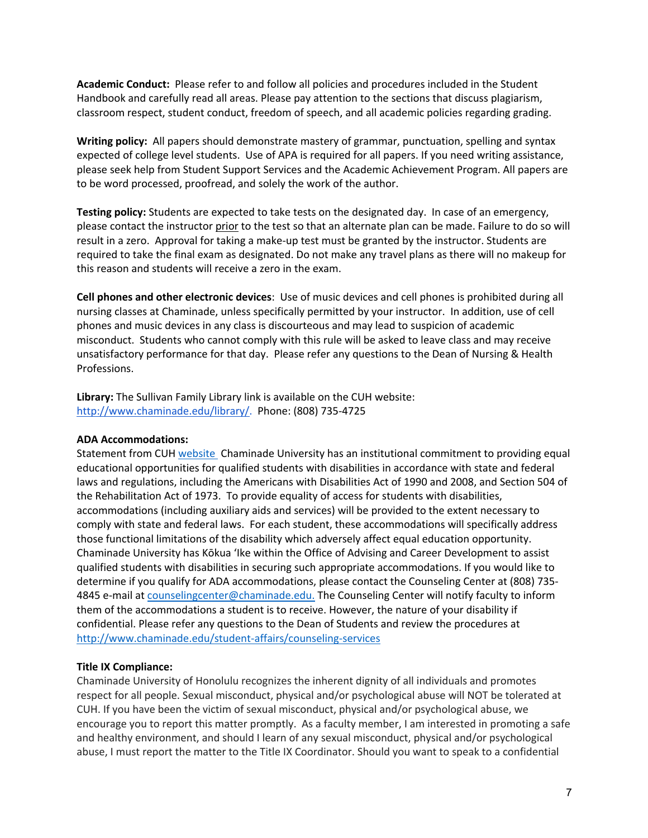**Academic Conduct:** Please refer to and follow all policies and procedures included in the Student Handbook and carefully read all areas. Please pay attention to the sections that discuss plagiarism, classroom respect, student conduct, freedom of speech, and all academic policies regarding grading.

**Writing policy:** All papers should demonstrate mastery of grammar, punctuation, spelling and syntax expected of college level students. Use of APA is required for all papers. If you need writing assistance, please seek help from Student Support Services and the Academic Achievement Program. All papers are to be word processed, proofread, and solely the work of the author.

**Testing policy:** Students are expected to take tests on the designated day. In case of an emergency, please contact the instructor prior to the test so that an alternate plan can be made. Failure to do so will result in a zero. Approval for taking a make-up test must be granted by the instructor. Students are required to take the final exam as designated. Do not make any travel plans as there will no makeup for this reason and students will receive a zero in the exam.

**Cell phones and other electronic devices**: Use of music devices and cell phones is prohibited during all nursing classes at Chaminade, unless specifically permitted by your instructor. In addition, use of cell phones and music devices in any class is discourteous and may lead to suspicion of academic misconduct. Students who cannot comply with this rule will be asked to leave class and may receive unsatisfactory performance for that day. Please refer any questions to the Dean of Nursing & Health Professions.

**Library:** The Sullivan Family Library link is available on the CUH website: http://www.chaminade.edu/library/. Phone: (808) 735-4725

#### **ADA Accommodations:**

Statement from CUH website Chaminade University has an institutional commitment to providing equal educational opportunities for qualified students with disabilities in accordance with state and federal laws and regulations, including the Americans with Disabilities Act of 1990 and 2008, and Section 504 of the Rehabilitation Act of 1973. To provide equality of access for students with disabilities, accommodations (including auxiliary aids and services) will be provided to the extent necessary to comply with state and federal laws. For each student, these accommodations will specifically address those functional limitations of the disability which adversely affect equal education opportunity. Chaminade University has Kōkua ʻIke within the Office of Advising and Career Development to assist qualified students with disabilities in securing such appropriate accommodations. If you would like to determine if you qualify for ADA accommodations, please contact the Counseling Center at (808) 735- 4845 e-mail at counselingcenter@chaminade.edu. The Counseling Center will notify faculty to inform them of the accommodations a student is to receive. However, the nature of your disability if confidential. Please refer any questions to the Dean of Students and review the procedures at http://www.chaminade.edu/student-affairs/counseling-services

### **Title IX Compliance:**

Chaminade University of Honolulu recognizes the inherent dignity of all individuals and promotes respect for all people. Sexual misconduct, physical and/or psychological abuse will NOT be tolerated at CUH. If you have been the victim of sexual misconduct, physical and/or psychological abuse, we encourage you to report this matter promptly. As a faculty member, I am interested in promoting a safe and healthy environment, and should I learn of any sexual misconduct, physical and/or psychological abuse, I must report the matter to the Title IX Coordinator. Should you want to speak to a confidential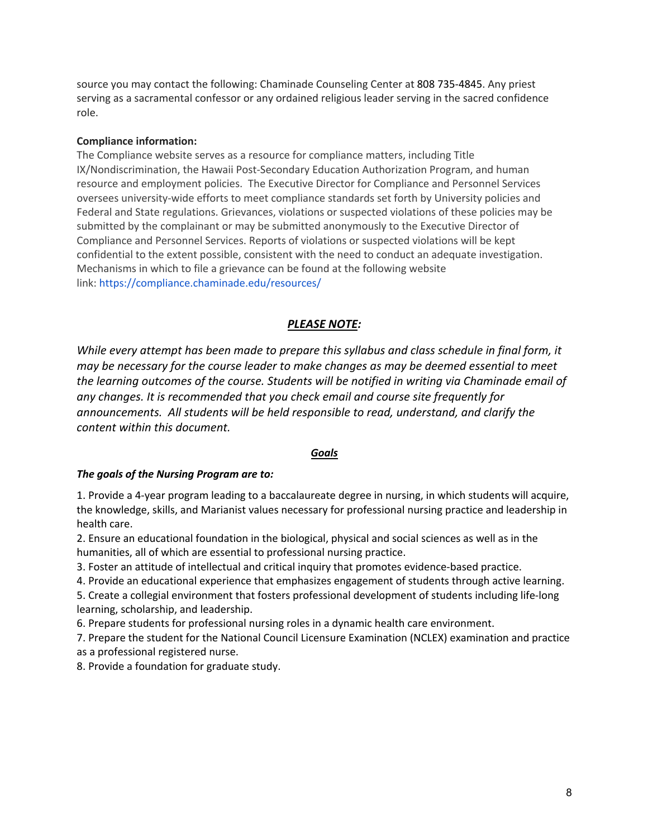source you may contact the following: Chaminade Counseling Center at 808 735-4845. Any priest serving as a sacramental confessor or any ordained religious leader serving in the sacred confidence role.

#### **Compliance information:**

The Compliance website serves as a resource for compliance matters, including Title IX/Nondiscrimination, the Hawaii Post-Secondary Education Authorization Program, and human resource and employment policies. The Executive Director for Compliance and Personnel Services oversees university-wide efforts to meet compliance standards set forth by University policies and Federal and State regulations. Grievances, violations or suspected violations of these policies may be submitted by the complainant or may be submitted anonymously to the Executive Director of Compliance and Personnel Services. Reports of violations or suspected violations will be kept confidential to the extent possible, consistent with the need to conduct an adequate investigation. Mechanisms in which to file a grievance can be found at the following website link: https://compliance.chaminade.edu/resources/

#### *PLEASE NOTE:*

*While every attempt has been made to prepare this syllabus and class schedule in final form, it may be necessary for the course leader to make changes as may be deemed essential to meet the learning outcomes of the course. Students will be notified in writing via Chaminade email of any changes. It is recommended that you check email and course site frequently for announcements. All students will be held responsible to read, understand, and clarify the content within this document.*

#### *Goals*

#### *The goals of the Nursing Program are to:*

1. Provide a 4-year program leading to a baccalaureate degree in nursing, in which students will acquire, the knowledge, skills, and Marianist values necessary for professional nursing practice and leadership in health care.

2. Ensure an educational foundation in the biological, physical and social sciences as well as in the humanities, all of which are essential to professional nursing practice.

3. Foster an attitude of intellectual and critical inquiry that promotes evidence-based practice.

4. Provide an educational experience that emphasizes engagement of students through active learning.

5. Create a collegial environment that fosters professional development of students including life-long learning, scholarship, and leadership.

6. Prepare students for professional nursing roles in a dynamic health care environment.

7. Prepare the student for the National Council Licensure Examination (NCLEX) examination and practice as a professional registered nurse.

8. Provide a foundation for graduate study.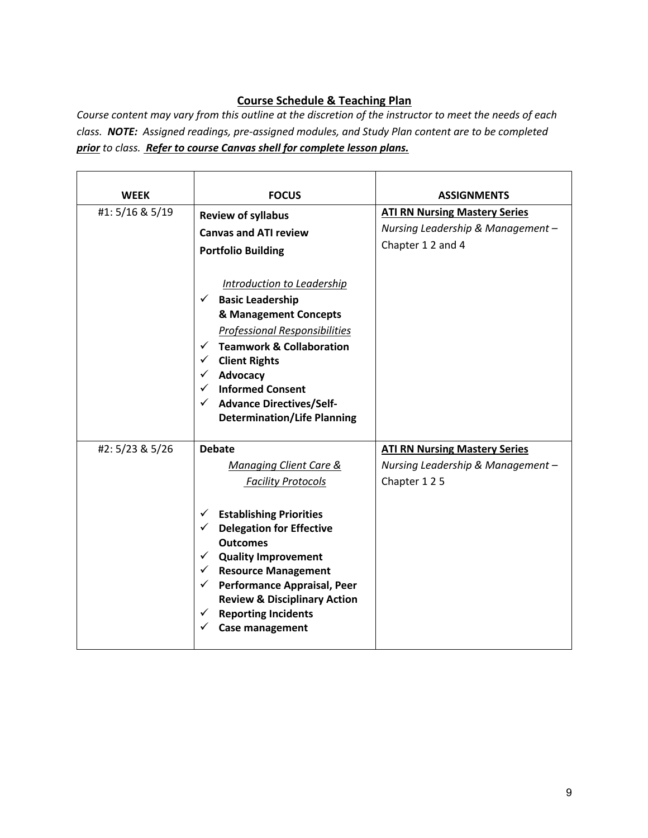# **Course Schedule & Teaching Plan**

*Course content may vary from this outline at the discretion of the instructor to meet the needs of each class. NOTE: Assigned readings, pre-assigned modules, and Study Plan content are to be completed prior to class. Refer to course Canvas shell for complete lesson plans.*

| <b>WEEK</b>     | <b>FOCUS</b>                                                                                                                                                                                                                                                                                                                                                                                                      | <b>ASSIGNMENTS</b>                                                                           |
|-----------------|-------------------------------------------------------------------------------------------------------------------------------------------------------------------------------------------------------------------------------------------------------------------------------------------------------------------------------------------------------------------------------------------------------------------|----------------------------------------------------------------------------------------------|
| #1: 5/16 & 5/19 | <b>Review of syllabus</b><br><b>Canvas and ATI review</b><br><b>Portfolio Building</b>                                                                                                                                                                                                                                                                                                                            | <b>ATI RN Nursing Mastery Series</b><br>Nursing Leadership & Management-<br>Chapter 12 and 4 |
|                 | Introduction to Leadership<br><b>Basic Leadership</b><br>✓<br>& Management Concepts<br><b>Professional Responsibilities</b><br><b>Teamwork &amp; Collaboration</b><br>$\checkmark$<br><b>Client Rights</b><br>✓<br>Advocacy<br><b>Informed Consent</b><br>✓<br><b>Advance Directives/Self-</b><br>$\checkmark$<br><b>Determination/Life Planning</b>                                                              |                                                                                              |
| #2: 5/23 & 5/26 | <b>Debate</b><br><b>Managing Client Care &amp;</b><br><b>Facility Protocols</b><br><b>Establishing Priorities</b><br>✓<br><b>Delegation for Effective</b><br>✓<br><b>Outcomes</b><br><b>Quality Improvement</b><br>✓<br>$\checkmark$ Resource Management<br>$\checkmark$ Performance Appraisal, Peer<br><b>Review &amp; Disciplinary Action</b><br><b>Reporting Incidents</b><br>✓<br><b>Case management</b><br>✓ | <b>ATI RN Nursing Mastery Series</b><br>Nursing Leadership & Management -<br>Chapter 125     |